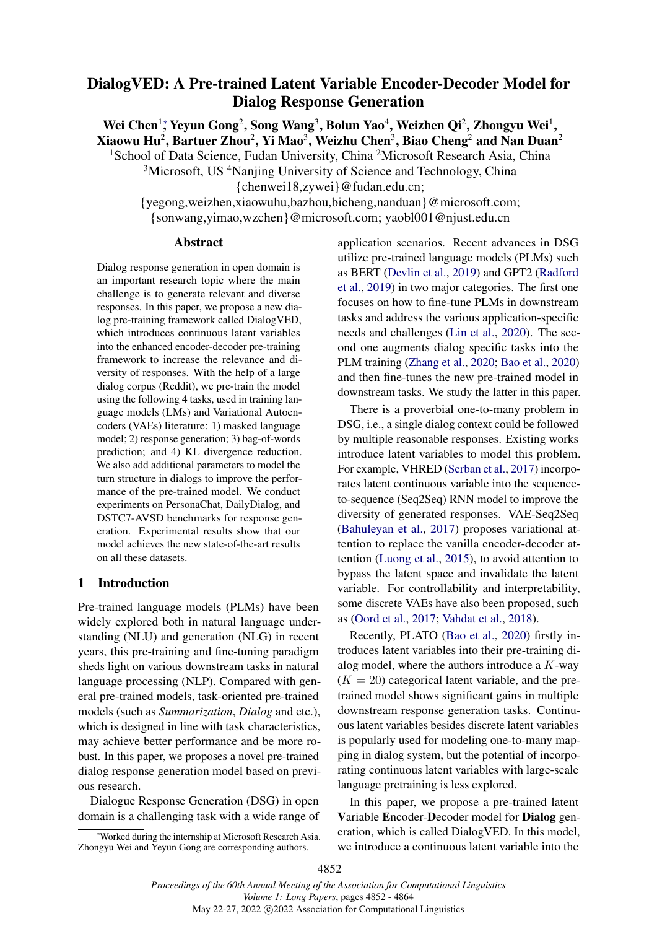# <span id="page-0-0"></span>DialogVED: A Pre-trained Latent Variable Encoder-Decoder Model for Dialog Response Generation

Wei Chen<sup>1</sup>; Yeyun Gong<sup>2</sup>[,](#page-0-0) Song Wang<sup>3</sup>, Bolun Yao<sup>4</sup>, Weizhen Qi<sup>2</sup>, Zhongyu Wei<sup>1</sup>, Xiaowu Hu $^2$ , Bartuer Zhou $^2$ , Yi Mao $^3$ , Weizhu Chen $^3$ , Biao Cheng $^2$  and Nan Duan $^2$ 

<sup>1</sup>School of Data Science, Fudan University, China <sup>2</sup>Microsoft Research Asia, China

<sup>3</sup>Microsoft, US<sup>4</sup>Nanjing University of Science and Technology, China

{chenwei18,zywei}@fudan.edu.cn;

{yegong,weizhen,xiaowuhu,bazhou,bicheng,nanduan}@microsoft.com; {sonwang,yimao,wzchen}@microsoft.com; yaobl001@njust.edu.cn

### Abstract

Dialog response generation in open domain is an important research topic where the main challenge is to generate relevant and diverse responses. In this paper, we propose a new dialog pre-training framework called DialogVED, which introduces continuous latent variables into the enhanced encoder-decoder pre-training framework to increase the relevance and diversity of responses. With the help of a large dialog corpus (Reddit), we pre-train the model using the following 4 tasks, used in training language models (LMs) and Variational Autoencoders (VAEs) literature: 1) masked language model; 2) response generation; 3) bag-of-words prediction; and 4) KL divergence reduction. We also add additional parameters to model the turn structure in dialogs to improve the performance of the pre-trained model. We conduct experiments on PersonaChat, DailyDialog, and DSTC7-AVSD benchmarks for response generation. Experimental results show that our model achieves the new state-of-the-art results on all these datasets.

## 1 Introduction

Pre-trained language models (PLMs) have been widely explored both in natural language understanding (NLU) and generation (NLG) in recent years, this pre-training and fine-tuning paradigm sheds light on various downstream tasks in natural language processing (NLP). Compared with general pre-trained models, task-oriented pre-trained models (such as *Summarization*, *Dialog* and etc.), which is designed in line with task characteristics, may achieve better performance and be more robust. In this paper, we proposes a novel pre-trained dialog response generation model based on previous research.

Dialogue Response Generation (DSG) in open domain is a challenging task with a wide range of application scenarios. Recent advances in DSG utilize pre-trained language models (PLMs) such as BERT [\(Devlin et al.,](#page-8-0) [2019\)](#page-8-0) and GPT2 [\(Radford](#page-9-0) [et al.,](#page-9-0) [2019\)](#page-9-0) in two major categories. The first one focuses on how to fine-tune PLMs in downstream tasks and address the various application-specific needs and challenges [\(Lin et al.,](#page-9-1) [2020\)](#page-9-1). The second one augments dialog specific tasks into the PLM training [\(Zhang et al.,](#page-10-0) [2020;](#page-10-0) [Bao et al.,](#page-8-1) [2020\)](#page-8-1) and then fine-tunes the new pre-trained model in downstream tasks. We study the latter in this paper.

There is a proverbial one-to-many problem in DSG, i.e., a single dialog context could be followed by multiple reasonable responses. Existing works introduce latent variables to model this problem. For example, VHRED [\(Serban et al.,](#page-9-2) [2017\)](#page-9-2) incorporates latent continuous variable into the sequenceto-sequence (Seq2Seq) RNN model to improve the diversity of generated responses. VAE-Seq2Seq [\(Bahuleyan et al.,](#page-8-2) [2017\)](#page-8-2) proposes variational attention to replace the vanilla encoder-decoder attention [\(Luong et al.,](#page-9-3) [2015\)](#page-9-3), to avoid attention to bypass the latent space and invalidate the latent variable. For controllability and interpretability, some discrete VAEs have also been proposed, such as [\(Oord et al.,](#page-9-4) [2017;](#page-9-4) [Vahdat et al.,](#page-10-1) [2018\)](#page-10-1).

Recently, PLATO [\(Bao et al.,](#page-8-1) [2020\)](#page-8-1) firstly introduces latent variables into their pre-training dialog model, where the authors introduce a  $K$ -way  $(K = 20)$  categorical latent variable, and the pretrained model shows significant gains in multiple downstream response generation tasks. Continuous latent variables besides discrete latent variables is popularly used for modeling one-to-many mapping in dialog system, but the potential of incorporating continuous latent variables with large-scale language pretraining is less explored.

In this paper, we propose a pre-trained latent Variable Encoder-Decoder model for Dialog generation, which is called DialogVED. In this model, we introduce a continuous latent variable into the

<sup>∗</sup>Worked during the internship at Microsoft Research Asia. Zhongyu Wei and Yeyun Gong are corresponding authors.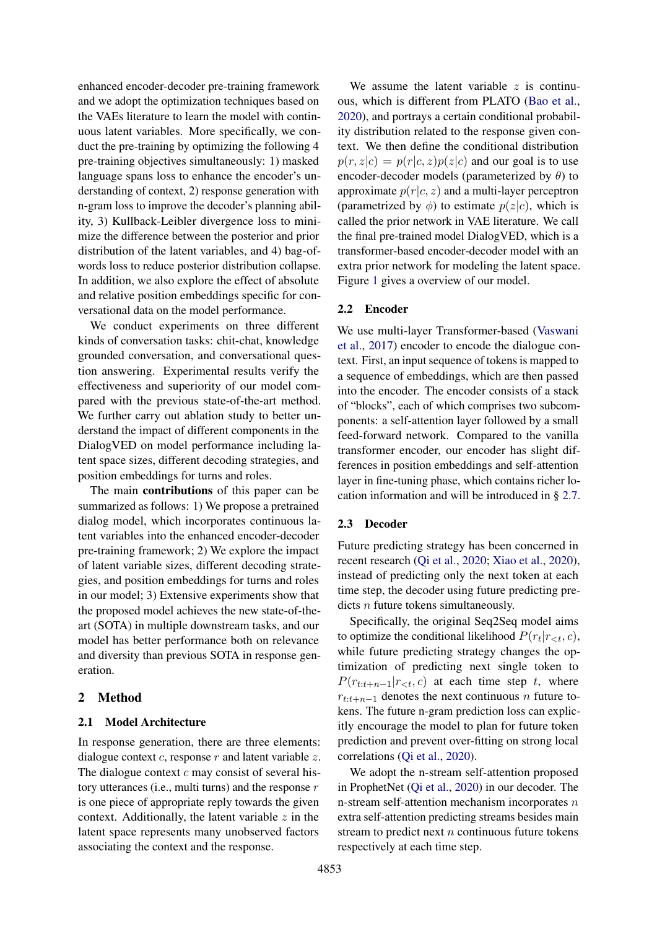enhanced encoder-decoder pre-training framework and we adopt the optimization techniques based on the VAEs literature to learn the model with continuous latent variables. More specifically, we conduct the pre-training by optimizing the following 4 pre-training objectives simultaneously: 1) masked language spans loss to enhance the encoder's understanding of context, 2) response generation with n-gram loss to improve the decoder's planning ability, 3) Kullback-Leibler divergence loss to minimize the difference between the posterior and prior distribution of the latent variables, and 4) bag-ofwords loss to reduce posterior distribution collapse. In addition, we also explore the effect of absolute and relative position embeddings specific for conversational data on the model performance.

We conduct experiments on three different kinds of conversation tasks: chit-chat, knowledge grounded conversation, and conversational question answering. Experimental results verify the effectiveness and superiority of our model compared with the previous state-of-the-art method. We further carry out ablation study to better understand the impact of different components in the DialogVED on model performance including latent space sizes, different decoding strategies, and position embeddings for turns and roles.

The main contributions of this paper can be summarized as follows: 1) We propose a pretrained dialog model, which incorporates continuous latent variables into the enhanced encoder-decoder pre-training framework; 2) We explore the impact of latent variable sizes, different decoding strategies, and position embeddings for turns and roles in our model; 3) Extensive experiments show that the proposed model achieves the new state-of-theart (SOTA) in multiple downstream tasks, and our model has better performance both on relevance and diversity than previous SOTA in response generation.

## 2 Method

## 2.1 Model Architecture

In response generation, there are three elements: dialogue context  $c$ , response  $r$  and latent variable  $z$ . The dialogue context  $c$  may consist of several history utterances (i.e., multi turns) and the response  $r$ is one piece of appropriate reply towards the given context. Additionally, the latent variable  $z$  in the latent space represents many unobserved factors associating the context and the response.

We assume the latent variable  $z$  is continuous, which is different from PLATO [\(Bao et al.,](#page-8-1) [2020\)](#page-8-1), and portrays a certain conditional probability distribution related to the response given context. We then define the conditional distribution  $p(r, z|c) = p(r|c, z)p(z|c)$  and our goal is to use encoder-decoder models (parameterized by  $\theta$ ) to approximate  $p(r|c, z)$  and a multi-layer perceptron (parametrized by  $\phi$ ) to estimate  $p(z|c)$ , which is called the prior network in VAE literature. We call the final pre-trained model DialogVED, which is a transformer-based encoder-decoder model with an extra prior network for modeling the latent space. Figure [1](#page-2-0) gives a overview of our model.

### 2.2 Encoder

We use multi-layer Transformer-based [\(Vaswani](#page-10-2) [et al.,](#page-10-2) [2017\)](#page-10-2) encoder to encode the dialogue context. First, an input sequence of tokens is mapped to a sequence of embeddings, which are then passed into the encoder. The encoder consists of a stack of "blocks", each of which comprises two subcomponents: a self-attention layer followed by a small feed-forward network. Compared to the vanilla transformer encoder, our encoder has slight differences in position embeddings and self-attention layer in fine-tuning phase, which contains richer location information and will be introduced in § [2.7.](#page-3-0)

### 2.3 Decoder

Future predicting strategy has been concerned in recent research [\(Qi et al.,](#page-9-5) [2020;](#page-9-5) [Xiao et al.,](#page-10-3) [2020\)](#page-10-3), instead of predicting only the next token at each time step, the decoder using future predicting predicts *n* future tokens simultaneously.

Specifically, the original Seq2Seq model aims to optimize the conditional likelihood  $P(r_t|r_{< t}, c)$ , while future predicting strategy changes the optimization of predicting next single token to  $P(r_{t:t+n-1}|r_{<}; c)$  at each time step t, where  $r_{t:t+n-1}$  denotes the next continuous n future tokens. The future n-gram prediction loss can explicitly encourage the model to plan for future token prediction and prevent over-fitting on strong local correlations [\(Qi et al.,](#page-9-5) [2020\)](#page-9-5).

We adopt the n-stream self-attention proposed in ProphetNet [\(Qi et al.,](#page-9-5) [2020\)](#page-9-5) in our decoder. The n-stream self-attention mechanism incorporates  $n$ extra self-attention predicting streams besides main stream to predict next  $n$  continuous future tokens respectively at each time step.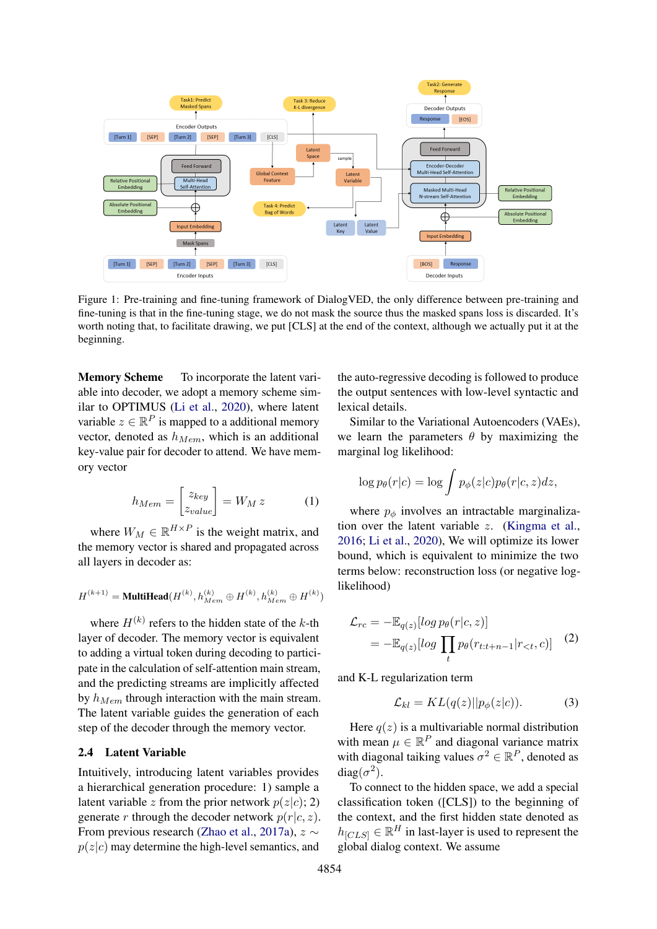<span id="page-2-0"></span>

Figure 1: Pre-training and fine-tuning framework of DialogVED, the only difference between pre-training and fine-tuning is that in the fine-tuning stage, we do not mask the source thus the masked spans loss is discarded. It's worth noting that, to facilitate drawing, we put [CLS] at the end of the context, although we actually put it at the beginning.

Memory Scheme To incorporate the latent variable into decoder, we adopt a memory scheme similar to OPTIMUS [\(Li et al.,](#page-9-6) [2020\)](#page-9-6), where latent variable  $z \in \mathbb{R}^P$  is mapped to a additional memory vector, denoted as  $h_{Mem}$ , which is an additional key-value pair for decoder to attend. We have memory vector

$$
h_{Mem} = \begin{bmatrix} z_{key} \\ z_{value} \end{bmatrix} = W_M z \tag{1}
$$

where  $W_M \in \mathbb{R}^{H \times P}$  is the weight matrix, and the memory vector is shared and propagated across all layers in decoder as:

$$
\boldsymbol{H}^{(k+1)} = \textbf{MultiHead}(\boldsymbol{H}^{(k)}, \boldsymbol{h}_{Mem}^{(k)} \oplus \boldsymbol{H}^{(k)}, \boldsymbol{h}_{Mem}^{(k)} \oplus \boldsymbol{H}^{(k)})
$$

where  $H^{(k)}$  refers to the hidden state of the k-th layer of decoder. The memory vector is equivalent to adding a virtual token during decoding to participate in the calculation of self-attention main stream, and the predicting streams are implicitly affected by  $h_{Mem}$  through interaction with the main stream. The latent variable guides the generation of each step of the decoder through the memory vector.

## 2.4 Latent Variable

Intuitively, introducing latent variables provides a hierarchical generation procedure: 1) sample a latent variable z from the prior network  $p(z|c)$ ; 2) generate r through the decoder network  $p(r|c, z)$ . From previous research [\(Zhao et al.,](#page-10-4) [2017a\)](#page-10-4),  $z \sim$  $p(z|c)$  may determine the high-level semantics, and

the auto-regressive decoding is followed to produce the output sentences with low-level syntactic and lexical details.

Similar to the Variational Autoencoders (VAEs), we learn the parameters  $\theta$  by maximizing the marginal log likelihood:

$$
\log p_{\theta}(r|c) = \log \int p_{\phi}(z|c) p_{\theta}(r|c, z) dz,
$$

where  $p_{\phi}$  involves an intractable marginalization over the latent variable z. [\(Kingma et al.,](#page-9-7) [2016;](#page-9-7) [Li et al.,](#page-9-6) [2020\)](#page-9-6), We will optimize its lower bound, which is equivalent to minimize the two terms below: reconstruction loss (or negative loglikelihood)

<span id="page-2-2"></span>
$$
\mathcal{L}_{rc} = -\mathbb{E}_{q(z)}[log p_{\theta}(r|c, z)]
$$
  
= 
$$
-\mathbb{E}_{q(z)}[log \prod_{t} p_{\theta}(r_{t:t+n-1}|r_{<}; c)]
$$
 (2)

and K-L regularization term

<span id="page-2-1"></span>
$$
\mathcal{L}_{kl} = KL(q(z)||p_{\phi}(z|c)). \tag{3}
$$

Here  $q(z)$  is a multivariable normal distribution with mean  $\mu \in \mathbb{R}^P$  and diagonal variance matrix with diagonal taiking values  $\sigma^2 \in \mathbb{R}^P$ , denoted as diag( $\sigma^2$ ).

To connect to the hidden space, we add a special classification token ([CLS]) to the beginning of the context, and the first hidden state denoted as  $h_{[CLS]} \in \mathbb{R}^H$  in last-layer is used to represent the global dialog context. We assume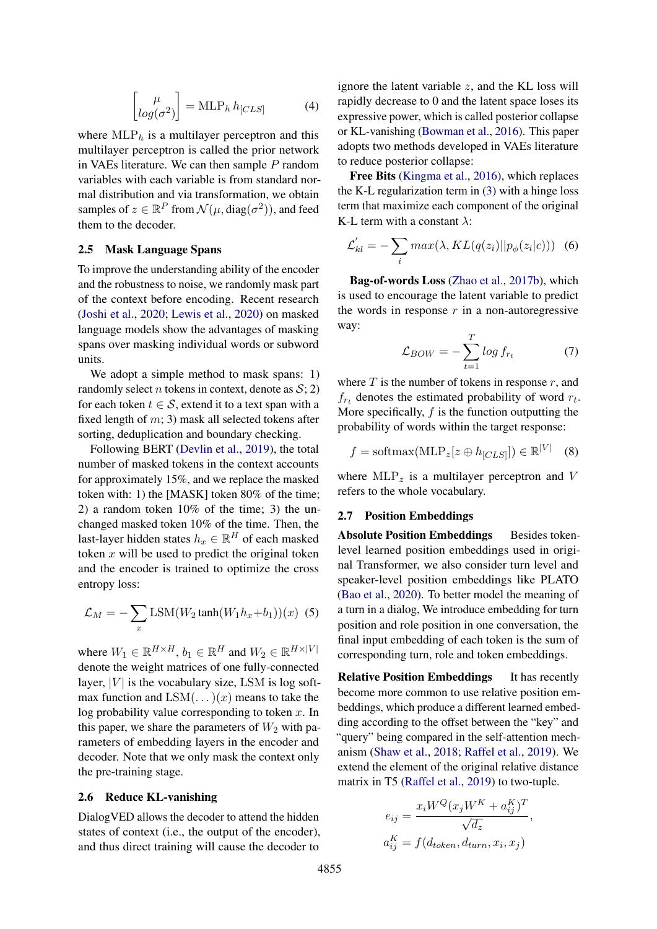$$
\begin{bmatrix} \mu \\ log(\sigma^2) \end{bmatrix} = \text{MLP}_h h_{[CLS]} \tag{4}
$$

where  $MLP<sub>h</sub>$  is a multilayer perceptron and this multilayer perceptron is called the prior network in VAEs literature. We can then sample  $P$  random variables with each variable is from standard normal distribution and via transformation, we obtain samples of  $z \in \mathbb{R}^P$  from  $\mathcal{N}(\mu, \text{diag}(\sigma^2))$ , and feed them to the decoder.

#### 2.5 Mask Language Spans

To improve the understanding ability of the encoder and the robustness to noise, we randomly mask part of the context before encoding. Recent research [\(Joshi et al.,](#page-9-8) [2020;](#page-9-8) [Lewis et al.,](#page-9-9) [2020\)](#page-9-9) on masked language models show the advantages of masking spans over masking individual words or subword units.

We adopt a simple method to mask spans: 1) randomly select *n* tokens in context, denote as  $S$ ; 2) for each token  $t \in S$ , extend it to a text span with a fixed length of  $m$ ; 3) mask all selected tokens after sorting, deduplication and boundary checking.

Following BERT [\(Devlin et al.,](#page-8-0) [2019\)](#page-8-0), the total number of masked tokens in the context accounts for approximately 15%, and we replace the masked token with: 1) the [MASK] token 80% of the time; 2) a random token 10% of the time; 3) the unchanged masked token 10% of the time. Then, the last-layer hidden states  $h_x \in \mathbb{R}^H$  of each masked token  $x$  will be used to predict the original token and the encoder is trained to optimize the cross entropy loss:

<span id="page-3-1"></span>
$$
\mathcal{L}_M = -\sum_x \text{LSM}(W_2 \tanh(W_1 h_x + b_1))(x) \tag{5}
$$

where  $W_1 \in \mathbb{R}^{H \times H}$ ,  $b_1 \in \mathbb{R}^H$  and  $W_2 \in \mathbb{R}^{H \times |V|}$ denote the weight matrices of one fully-connected layer,  $|V|$  is the vocabulary size, LSM is log softmax function and  $LSM(\ldots)(x)$  means to take the log probability value corresponding to token  $x$ . In this paper, we share the parameters of  $W_2$  with parameters of embedding layers in the encoder and decoder. Note that we only mask the context only the pre-training stage.

### 2.6 Reduce KL-vanishing

DialogVED allows the decoder to attend the hidden states of context (i.e., the output of the encoder), and thus direct training will cause the decoder to

ignore the latent variable  $z$ , and the KL loss will rapidly decrease to 0 and the latent space loses its expressive power, which is called posterior collapse or KL-vanishing [\(Bowman et al.,](#page-8-3) [2016\)](#page-8-3). This paper adopts two methods developed in VAEs literature to reduce posterior collapse:

Free Bits [\(Kingma et al.,](#page-9-7) [2016\)](#page-9-7), which replaces the K-L regularization term in [\(3\)](#page-2-1) with a hinge loss term that maximize each component of the original K-L term with a constant  $\lambda$ :

<span id="page-3-2"></span>
$$
\mathcal{L}_{kl}^{\prime} = -\sum_{i} max(\lambda, KL(q(z_i)||p_{\phi}(z_i|c))) \quad (6)
$$

Bag-of-words Loss [\(Zhao et al.,](#page-10-5) [2017b\)](#page-10-5), which is used to encourage the latent variable to predict the words in response  $r$  in a non-autoregressive way:

<span id="page-3-3"></span>
$$
\mathcal{L}_{BOW} = -\sum_{t=1}^{T} \log f_{r_t} \tag{7}
$$

where  $T$  is the number of tokens in response  $r$ , and  $f_{rt}$  denotes the estimated probability of word  $r_t$ . More specifically,  $f$  is the function outputting the probability of words within the target response:

$$
f = \text{softmax}(\text{MLP}_z[z \oplus h_{[CLS]}]) \in \mathbb{R}^{|V|} \quad (8)
$$

where  $MLP_z$  is a multilayer perceptron and V refers to the whole vocabulary.

#### <span id="page-3-0"></span>2.7 Position Embeddings

Absolute Position Embeddings Besides tokenlevel learned position embeddings used in original Transformer, we also consider turn level and speaker-level position embeddings like PLATO [\(Bao et al.,](#page-8-1) [2020\)](#page-8-1). To better model the meaning of a turn in a dialog, We introduce embedding for turn position and role position in one conversation, the final input embedding of each token is the sum of corresponding turn, role and token embeddings.

**Relative Position Embeddings** It has recently become more common to use relative position embeddings, which produce a different learned embedding according to the offset between the "key" and "query" being compared in the self-attention mechanism [\(Shaw et al.,](#page-10-6) [2018;](#page-10-6) [Raffel et al.,](#page-9-10) [2019\)](#page-9-10). We extend the element of the original relative distance matrix in T5 [\(Raffel et al.,](#page-9-10) [2019\)](#page-9-10) to two-tuple.

$$
e_{ij} = \frac{x_i W^Q(x_j W^K + a_{ij}^K)^T}{\sqrt{d_z}},
$$
  

$$
a_{ij}^K = f(d_{token}, d_{turn}, x_i, x_j)
$$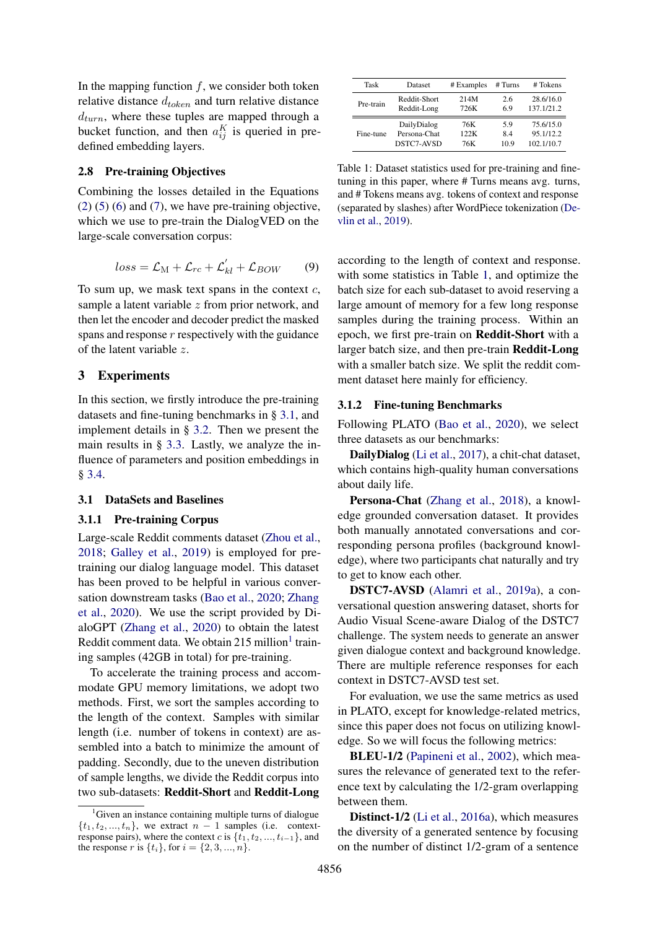In the mapping function  $f$ , we consider both token relative distance  $d_{token}$  and turn relative distance  $d_{turn}$ , where these tuples are mapped through a bucket function, and then  $a_{ij}^K$  is queried in predefined embedding layers.

#### 2.8 Pre-training Objectives

Combining the losses detailed in the Equations  $(2)$  [\(5\)](#page-3-1) [\(6\)](#page-3-2) and [\(7\)](#page-3-3), we have pre-training objective, which we use to pre-train the DialogVED on the large-scale conversation corpus:

$$
loss = \mathcal{L}_{\text{M}} + \mathcal{L}_{rc} + \mathcal{L}'_{kl} + \mathcal{L}_{BOW} \qquad (9)
$$

To sum up, we mask text spans in the context  $c$ , sample a latent variable  $z$  from prior network, and then let the encoder and decoder predict the masked spans and response  $r$  respectively with the guidance of the latent variable z.

### 3 Experiments

In this section, we firstly introduce the pre-training datasets and fine-tuning benchmarks in § [3.1,](#page-4-0) and implement details in § [3.2.](#page-5-0) Then we present the main results in § [3.3.](#page-6-0) Lastly, we analyze the influence of parameters and position embeddings in § [3.4.](#page-6-1)

### <span id="page-4-0"></span>3.1 DataSets and Baselines

#### 3.1.1 Pre-training Corpus

Large-scale Reddit comments dataset [\(Zhou et al.,](#page-10-7) [2018;](#page-10-7) [Galley et al.,](#page-8-4) [2019\)](#page-8-4) is employed for pretraining our dialog language model. This dataset has been proved to be helpful in various conversation downstream tasks [\(Bao et al.,](#page-8-1) [2020;](#page-8-1) [Zhang](#page-10-0) [et al.,](#page-10-0) [2020\)](#page-10-0). We use the script provided by DialoGPT [\(Zhang et al.,](#page-10-0) [2020\)](#page-10-0) to obtain the latest Reddit comment data. We obtain 2[1](#page-4-1)5 million<sup>1</sup> training samples (42GB in total) for pre-training.

To accelerate the training process and accommodate GPU memory limitations, we adopt two methods. First, we sort the samples according to the length of the context. Samples with similar length (i.e. number of tokens in context) are assembled into a batch to minimize the amount of padding. Secondly, due to the uneven distribution of sample lengths, we divide the Reddit corpus into two sub-datasets: Reddit-Short and Reddit-Long

<span id="page-4-2"></span>

| Task      | Dataset      | # Examples | # Turns | # Tokens   |
|-----------|--------------|------------|---------|------------|
| Pre-train | Reddit-Short | 214M       | 2.6     | 28.6/16.0  |
|           | Reddit-Long  | 726K       | 6.9     | 137.1/21.2 |
| Fine-tune | DailyDialog  | 76K        | 5.9     | 75.6/15.0  |
|           | Persona-Chat | 122K       | 8.4     | 95.1/12.2  |
|           | DSTC7-AVSD   | 76K        | 10.9    | 102.1/10.7 |

Table 1: Dataset statistics used for pre-training and finetuning in this paper, where # Turns means avg. turns, and # Tokens means avg. tokens of context and response (separated by slashes) after WordPiece tokenization [\(De](#page-8-0)[vlin et al.,](#page-8-0) [2019\)](#page-8-0).

according to the length of context and response. with some statistics in Table [1,](#page-4-2) and optimize the batch size for each sub-dataset to avoid reserving a large amount of memory for a few long response samples during the training process. Within an epoch, we first pre-train on Reddit-Short with a larger batch size, and then pre-train Reddit-Long with a smaller batch size. We split the reddit comment dataset here mainly for efficiency.

#### 3.1.2 Fine-tuning Benchmarks

Following PLATO [\(Bao et al.,](#page-8-1) [2020\)](#page-8-1), we select three datasets as our benchmarks:

DailyDialog [\(Li et al.,](#page-9-11) [2017\)](#page-9-11), a chit-chat dataset, which contains high-quality human conversations about daily life.

Persona-Chat [\(Zhang et al.,](#page-10-8) [2018\)](#page-10-8), a knowledge grounded conversation dataset. It provides both manually annotated conversations and corresponding persona profiles (background knowledge), where two participants chat naturally and try to get to know each other.

DSTC7-AVSD [\(Alamri et al.,](#page-8-5) [2019a\)](#page-8-5), a conversational question answering dataset, shorts for Audio Visual Scene-aware Dialog of the DSTC7 challenge. The system needs to generate an answer given dialogue context and background knowledge. There are multiple reference responses for each context in DSTC7-AVSD test set.

For evaluation, we use the same metrics as used in PLATO, except for knowledge-related metrics, since this paper does not focus on utilizing knowledge. So we will focus the following metrics:

BLEU-1/2 [\(Papineni et al.,](#page-9-12) [2002\)](#page-9-12), which measures the relevance of generated text to the reference text by calculating the 1/2-gram overlapping between them.

Distinct-1/2 [\(Li et al.,](#page-9-13) [2016a\)](#page-9-13), which measures the diversity of a generated sentence by focusing on the number of distinct 1/2-gram of a sentence

<span id="page-4-1"></span><sup>&</sup>lt;sup>1</sup>Given an instance containing multiple turns of dialogue  $\{t_1, t_2, ..., t_n\}$ , we extract  $n-1$  samples (i.e. contextresponse pairs), where the context c is  $\{\tilde{t}_1, t_2, ..., t_{i-1}\}$ , and the response r is  $\{t_i\}$ , for  $i = \{2, 3, ..., n\}$ .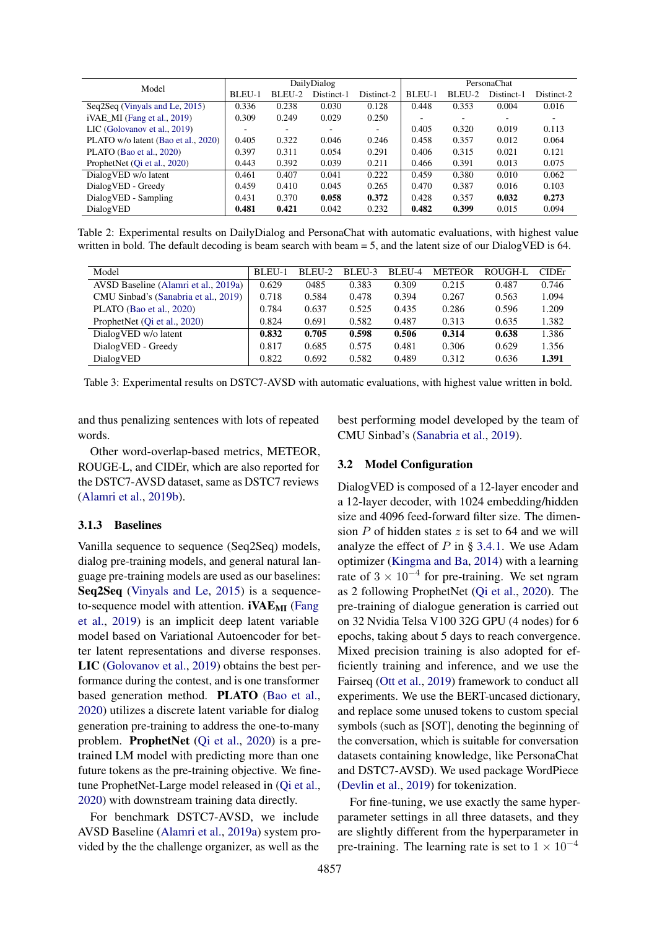<span id="page-5-1"></span>

| Model                               | DailyDialog |        |            | PersonaChat              |        |        |            |            |
|-------------------------------------|-------------|--------|------------|--------------------------|--------|--------|------------|------------|
|                                     | BLEU-1      | BLEU-2 | Distinct-1 | Distinct-2               | BLEU-1 | BLEU-2 | Distinct-1 | Distinct-2 |
| Seq2Seq (Vinyals and Le, 2015)      | 0.336       | 0.238  | 0.030      | 0.128                    | 0.448  | 0.353  | 0.004      | 0.016      |
| $iVAE_M$ (Fang et al., 2019)        | 0.309       | 0.249  | 0.029      | 0.250                    | -      | ۰      | ٠          |            |
| LIC (Golovanov et al., 2019)        |             | ۰      |            | $\overline{\phantom{a}}$ | 0.405  | 0.320  | 0.019      | 0.113      |
| PLATO w/o latent (Bao et al., 2020) | 0.405       | 0.322  | 0.046      | 0.246                    | 0.458  | 0.357  | 0.012      | 0.064      |
| PLATO (Bao et al., 2020)            | 0.397       | 0.311  | 0.054      | 0.291                    | 0.406  | 0.315  | 0.021      | 0.121      |
| ProphetNet (Qi et al., 2020)        | 0.443       | 0.392  | 0.039      | 0.211                    | 0.466  | 0.391  | 0.013      | 0.075      |
| DialogVED w/o latent                | 0.461       | 0.407  | 0.041      | 0.222                    | 0.459  | 0.380  | 0.010      | 0.062      |
| DialogVED - Greedy                  | 0.459       | 0.410  | 0.045      | 0.265                    | 0.470  | 0.387  | 0.016      | 0.103      |
| DialogVED - Sampling                | 0.431       | 0.370  | 0.058      | 0.372                    | 0.428  | 0.357  | 0.032      | 0.273      |
| DialogVED                           | 0.481       | 0.421  | 0.042      | 0.232                    | 0.482  | 0.399  | 0.015      | 0.094      |

Table 2: Experimental results on DailyDialog and PersonaChat with automatic evaluations, with highest value written in bold. The default decoding is beam search with beam = 5, and the latent size of our DialogVED is 64.

<span id="page-5-2"></span>

| Model                                | BLEU-1 | BLEU-2 | BLEU-3 | BLEU-4 | <b>METEOR</b> | ROUGH-L | <b>CIDE</b> <sup>r</sup> |
|--------------------------------------|--------|--------|--------|--------|---------------|---------|--------------------------|
| AVSD Baseline (Alamri et al., 2019a) | 0.629  | 0485   | 0.383  | 0.309  | 0.215         | 0.487   | 0.746                    |
| CMU Sinbad's (Sanabria et al., 2019) | 0.718  | 0.584  | 0.478  | 0.394  | 0.267         | 0.563   | 1.094                    |
| PLATO (Bao et al., 2020)             | 0.784  | 0.637  | 0.525  | 0.435  | 0.286         | 0.596   | 1.209                    |
| ProphetNet (Qi et al., 2020)         | 0.824  | 0.691  | 0.582  | 0.487  | 0.313         | 0.635   | 1.382                    |
| DialogVED w/o latent                 | 0.832  | 0.705  | 0.598  | 0.506  | 0.314         | 0.638   | 1.386                    |
| DialogVED - Greedy                   | 0.817  | 0.685  | 0.575  | 0.481  | 0.306         | 0.629   | 1.356                    |
| DialogVED                            | 0.822  | 0.692  | 0.582  | 0.489  | 0.312         | 0.636   | 1.391                    |

Table 3: Experimental results on DSTC7-AVSD with automatic evaluations, with highest value written in bold.

and thus penalizing sentences with lots of repeated words.

Other word-overlap-based metrics, METEOR, ROUGE-L, and CIDEr, which are also reported for the DSTC7-AVSD dataset, same as DSTC7 reviews [\(Alamri et al.,](#page-8-7) [2019b\)](#page-8-7).

#### 3.1.3 Baselines

Vanilla sequence to sequence (Seq2Seq) models, dialog pre-training models, and general natural language pre-training models are used as our baselines: Seq2Seq [\(Vinyals and Le,](#page-10-9) [2015\)](#page-10-9) is a sequenceto-sequence model with attention. **iVAE<sub>MI</sub>** [\(Fang](#page-8-6) [et al.,](#page-8-6) [2019\)](#page-8-6) is an implicit deep latent variable model based on Variational Autoencoder for better latent representations and diverse responses. LIC [\(Golovanov et al.,](#page-9-14) [2019\)](#page-9-14) obtains the best performance during the contest, and is one transformer based generation method. PLATO [\(Bao et al.,](#page-8-1) [2020\)](#page-8-1) utilizes a discrete latent variable for dialog generation pre-training to address the one-to-many problem. ProphetNet [\(Qi et al.,](#page-9-5) [2020\)](#page-9-5) is a pretrained LM model with predicting more than one future tokens as the pre-training objective. We finetune ProphetNet-Large model released in [\(Qi et al.,](#page-9-5) [2020\)](#page-9-5) with downstream training data directly.

For benchmark DSTC7-AVSD, we include AVSD Baseline [\(Alamri et al.,](#page-8-5) [2019a\)](#page-8-5) system provided by the the challenge organizer, as well as the

best performing model developed by the team of CMU Sinbad's [\(Sanabria et al.,](#page-9-15) [2019\)](#page-9-15).

### <span id="page-5-0"></span>3.2 Model Configuration

DialogVED is composed of a 12-layer encoder and a 12-layer decoder, with 1024 embedding/hidden size and 4096 feed-forward filter size. The dimension  $P$  of hidden states  $z$  is set to 64 and we will analyze the effect of  $P$  in § [3.4.1.](#page-6-2) We use Adam optimizer [\(Kingma and Ba,](#page-9-16) [2014\)](#page-9-16) with a learning rate of  $3 \times 10^{-4}$  for pre-training. We set ngram as 2 following ProphetNet [\(Qi et al.,](#page-9-5) [2020\)](#page-9-5). The pre-training of dialogue generation is carried out on 32 Nvidia Telsa V100 32G GPU (4 nodes) for 6 epochs, taking about 5 days to reach convergence. Mixed precision training is also adopted for efficiently training and inference, and we use the Fairseq [\(Ott et al.,](#page-9-17) [2019\)](#page-9-17) framework to conduct all experiments. We use the BERT-uncased dictionary, and replace some unused tokens to custom special symbols (such as [SOT], denoting the beginning of the conversation, which is suitable for conversation datasets containing knowledge, like PersonaChat and DSTC7-AVSD). We used package WordPiece [\(Devlin et al.,](#page-8-0) [2019\)](#page-8-0) for tokenization.

For fine-tuning, we use exactly the same hyperparameter settings in all three datasets, and they are slightly different from the hyperparameter in pre-training. The learning rate is set to  $1 \times 10^{-4}$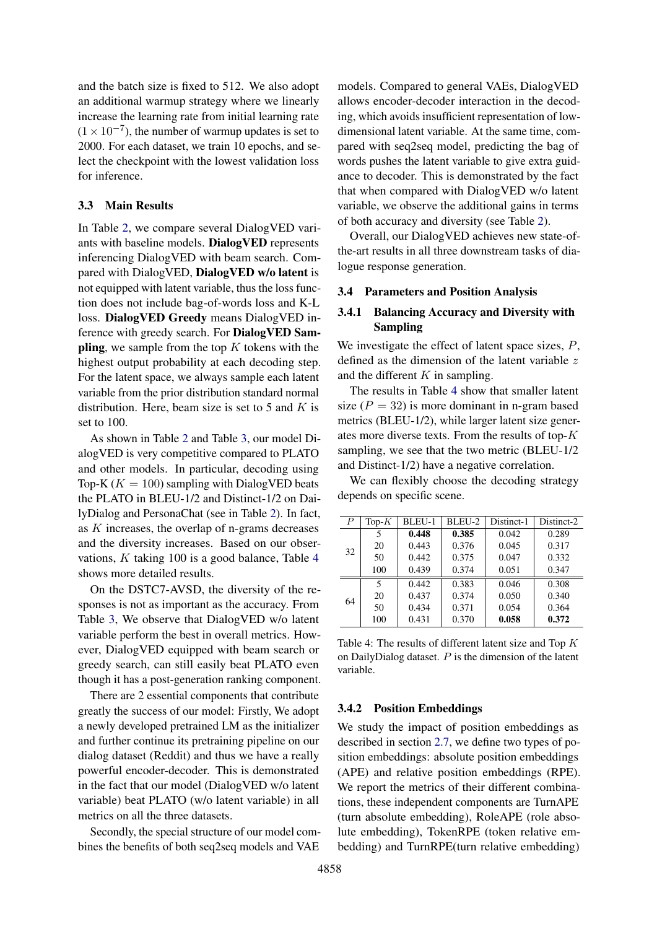and the batch size is fixed to 512. We also adopt an additional warmup strategy where we linearly increase the learning rate from initial learning rate  $(1 \times 10^{-7})$ , the number of warmup updates is set to 2000. For each dataset, we train 10 epochs, and select the checkpoint with the lowest validation loss for inference.

#### <span id="page-6-0"></span>3.3 Main Results

In Table [2,](#page-5-1) we compare several DialogVED variants with baseline models. DialogVED represents inferencing DialogVED with beam search. Compared with DialogVED, DialogVED w/o latent is not equipped with latent variable, thus the loss function does not include bag-of-words loss and K-L loss. DialogVED Greedy means DialogVED inference with greedy search. For DialogVED Sampling, we sample from the top  $K$  tokens with the highest output probability at each decoding step. For the latent space, we always sample each latent variable from the prior distribution standard normal distribution. Here, beam size is set to 5 and  $K$  is set to 100.

As shown in Table [2](#page-5-1) and Table [3,](#page-5-2) our model DialogVED is very competitive compared to PLATO and other models. In particular, decoding using Top-K ( $K = 100$ ) sampling with DialogVED beats the PLATO in BLEU-1/2 and Distinct-1/2 on DailyDialog and PersonaChat (see in Table [2\)](#page-5-1). In fact, as K increases, the overlap of n-grams decreases and the diversity increases. Based on our observations, K taking 100 is a good balance, Table [4](#page-6-3) shows more detailed results.

On the DSTC7-AVSD, the diversity of the responses is not as important as the accuracy. From Table [3,](#page-5-2) We observe that DialogVED w/o latent variable perform the best in overall metrics. However, DialogVED equipped with beam search or greedy search, can still easily beat PLATO even though it has a post-generation ranking component.

There are 2 essential components that contribute greatly the success of our model: Firstly, We adopt a newly developed pretrained LM as the initializer and further continue its pretraining pipeline on our dialog dataset (Reddit) and thus we have a really powerful encoder-decoder. This is demonstrated in the fact that our model (DialogVED w/o latent variable) beat PLATO (w/o latent variable) in all metrics on all the three datasets.

Secondly, the special structure of our model combines the benefits of both seq2seq models and VAE models. Compared to general VAEs, DialogVED allows encoder-decoder interaction in the decoding, which avoids insufficient representation of lowdimensional latent variable. At the same time, compared with seq2seq model, predicting the bag of words pushes the latent variable to give extra guidance to decoder. This is demonstrated by the fact that when compared with DialogVED w/o latent variable, we observe the additional gains in terms of both accuracy and diversity (see Table [2\)](#page-5-1).

Overall, our DialogVED achieves new state-ofthe-art results in all three downstream tasks of dialogue response generation.

#### <span id="page-6-1"></span>3.4 Parameters and Position Analysis

## <span id="page-6-2"></span>3.4.1 Balancing Accuracy and Diversity with Sampling

We investigate the effect of latent space sizes,  $P$ , defined as the dimension of the latent variable z and the different  $K$  in sampling.

The results in Table [4](#page-6-3) show that smaller latent size  $(P = 32)$  is more dominant in n-gram based metrics (BLEU-1/2), while larger latent size generates more diverse texts. From the results of top-K sampling, we see that the two metric (BLEU-1/2 and Distinct-1/2) have a negative correlation.

We can flexibly choose the decoding strategy depends on specific scene.

<span id="page-6-3"></span>

| $\boldsymbol{P}$ | Top- $K$ | <b>BLEU-1</b> | BLEU-2 | Distinct-1 | Distinct-2 |
|------------------|----------|---------------|--------|------------|------------|
|                  | 5        | 0.448         | 0.385  | 0.042      | 0.289      |
| 32               | 20       | 0.443         | 0.376  | 0.045      | 0.317      |
|                  | 50       | 0.442         | 0.375  | 0.047      | 0.332      |
|                  | 100      | 0.439         | 0.374  | 0.051      | 0.347      |
|                  | 5        | 0.442         | 0.383  | 0.046      | 0.308      |
| 64               | 20       | 0.437         | 0.374  | 0.050      | 0.340      |
|                  | 50       | 0.434         | 0.371  | 0.054      | 0.364      |
|                  | 100      | 0.431         | 0.370  | 0.058      | 0.372      |

Table 4: The results of different latent size and Top  $K$ on DailyDialog dataset.  $P$  is the dimension of the latent variable.

### 3.4.2 Position Embeddings

We study the impact of position embeddings as described in section [2.7,](#page-3-0) we define two types of position embeddings: absolute position embeddings (APE) and relative position embeddings (RPE). We report the metrics of their different combinations, these independent components are TurnAPE (turn absolute embedding), RoleAPE (role absolute embedding), TokenRPE (token relative embedding) and TurnRPE(turn relative embedding)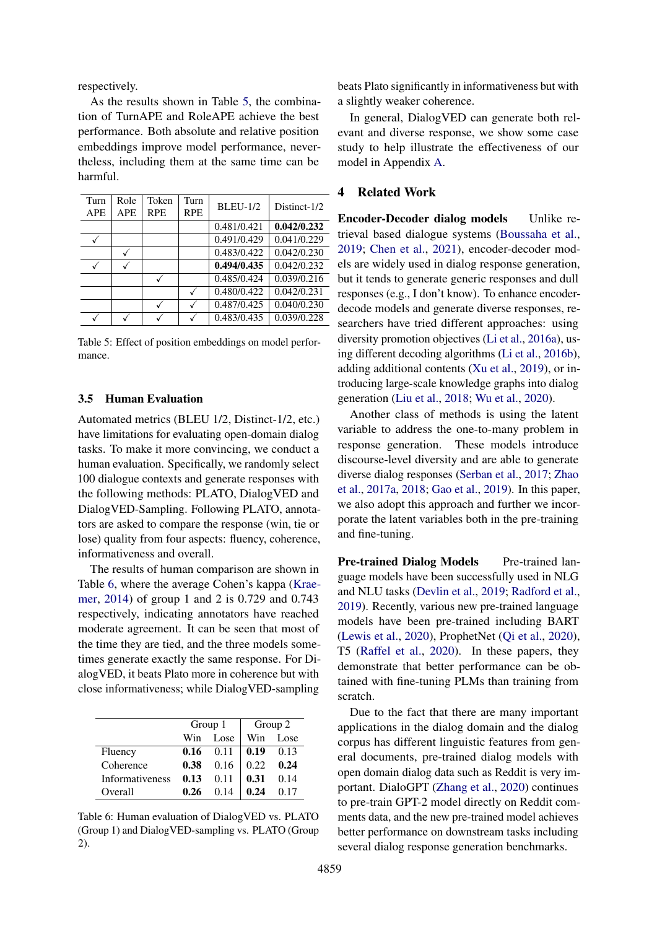respectively.

As the results shown in Table [5,](#page-7-0) the combination of TurnAPE and RoleAPE achieve the best performance. Both absolute and relative position embeddings improve model performance, nevertheless, including them at the same time can be harmful.

<span id="page-7-0"></span>

| Turn       | Role         | Token      | Turn       | <b>BLEU-1/2</b> | Distinct-1/2 |
|------------|--------------|------------|------------|-----------------|--------------|
| <b>APE</b> | <b>APE</b>   | <b>RPE</b> | <b>RPE</b> |                 |              |
|            |              |            |            | 0.481/0.421     | 0.042/0.232  |
|            |              |            |            | 0.491/0.429     | 0.041/0.229  |
|            | $\checkmark$ |            |            | 0.483/0.422     | 0.042/0.230  |
|            |              |            |            | 0.494/0.435     | 0.042/0.232  |
|            |              |            |            | 0.485/0.424     | 0.039/0.216  |
|            |              |            |            | 0.480/0.422     | 0.042/0.231  |
|            |              |            |            | 0.487/0.425     | 0.040/0.230  |
|            |              |            |            | 0.483/0.435     | 0.039/0.228  |
|            |              |            |            |                 |              |

Table 5: Effect of position embeddings on model performance.

#### 3.5 Human Evaluation

Automated metrics (BLEU 1/2, Distinct-1/2, etc.) have limitations for evaluating open-domain dialog tasks. To make it more convincing, we conduct a human evaluation. Specifically, we randomly select 100 dialogue contexts and generate responses with the following methods: PLATO, DialogVED and DialogVED-Sampling. Following PLATO, annotators are asked to compare the response (win, tie or lose) quality from four aspects: fluency, coherence, informativeness and overall.

The results of human comparison are shown in Table [6,](#page-7-1) where the average Cohen's kappa [\(Krae](#page-9-18)[mer,](#page-9-18) [2014\)](#page-9-18) of group 1 and 2 is 0.729 and 0.743 respectively, indicating annotators have reached moderate agreement. It can be seen that most of the time they are tied, and the three models sometimes generate exactly the same response. For DialogVED, it beats Plato more in coherence but with close informativeness; while DialogVED-sampling

<span id="page-7-1"></span>

|                        | Group 1 |       | Group 2 |      |
|------------------------|---------|-------|---------|------|
|                        | Win     | Lose. | Win     | Lose |
| Fluency                | 0.16    | 0.11  | 0.19    | 0.13 |
| Coherence              | 0.38    | 0.16  | 0.22    | 0.24 |
| <b>Informativeness</b> | 0.13    | 0.11  | 0.31    | 0.14 |
| Overall                | በ 26    | O 14  | 0 24    |      |

Table 6: Human evaluation of DialogVED vs. PLATO (Group 1) and DialogVED-sampling vs. PLATO (Group 2).

beats Plato significantly in informativeness but with a slightly weaker coherence.

In general, DialogVED can generate both relevant and diverse response, we show some case study to help illustrate the effectiveness of our model in Appendix [A.](#page-10-10)

## 4 Related Work

- Encoder-Decoder dialog models Unlike retrieval based dialogue systems [\(Boussaha et al.,](#page-8-8) [2019;](#page-8-8) [Chen et al.,](#page-8-9) [2021\)](#page-8-9), encoder-decoder models are widely used in dialog response generation, but it tends to generate generic responses and dull responses (e.g., I don't know). To enhance encoderdecode models and generate diverse responses, researchers have tried different approaches: using diversity promotion objectives [\(Li et al.,](#page-9-13) [2016a\)](#page-9-13), using different decoding algorithms [\(Li et al.,](#page-9-19) [2016b\)](#page-9-19), adding additional contents [\(Xu et al.,](#page-10-11) [2019\)](#page-10-11), or introducing large-scale knowledge graphs into dialog generation [\(Liu et al.,](#page-9-20) [2018;](#page-9-20) [Wu et al.,](#page-10-12) [2020\)](#page-10-12).

Another class of methods is using the latent variable to address the one-to-many problem in response generation. These models introduce discourse-level diversity and are able to generate diverse dialog responses [\(Serban et al.,](#page-9-2) [2017;](#page-9-2) [Zhao](#page-10-4) [et al.,](#page-10-4) [2017a,](#page-10-4) [2018;](#page-10-13) [Gao et al.,](#page-9-21) [2019\)](#page-9-21). In this paper, we also adopt this approach and further we incorporate the latent variables both in the pre-training and fine-tuning.

Pre-trained Dialog Models Pre-trained language models have been successfully used in NLG and NLU tasks [\(Devlin et al.,](#page-8-0) [2019;](#page-8-0) [Radford et al.,](#page-9-0) [2019\)](#page-9-0). Recently, various new pre-trained language models have been pre-trained including BART [\(Lewis et al.,](#page-9-9) [2020\)](#page-9-9), ProphetNet [\(Qi et al.,](#page-9-5) [2020\)](#page-9-5), T5 [\(Raffel et al.,](#page-9-22) [2020\)](#page-9-22). In these papers, they demonstrate that better performance can be obtained with fine-tuning PLMs than training from scratch.

Due to the fact that there are many important applications in the dialog domain and the dialog corpus has different linguistic features from general documents, pre-trained dialog models with open domain dialog data such as Reddit is very important. DialoGPT [\(Zhang et al.,](#page-10-0) [2020\)](#page-10-0) continues to pre-train GPT-2 model directly on Reddit comments data, and the new pre-trained model achieves better performance on downstream tasks including several dialog response generation benchmarks.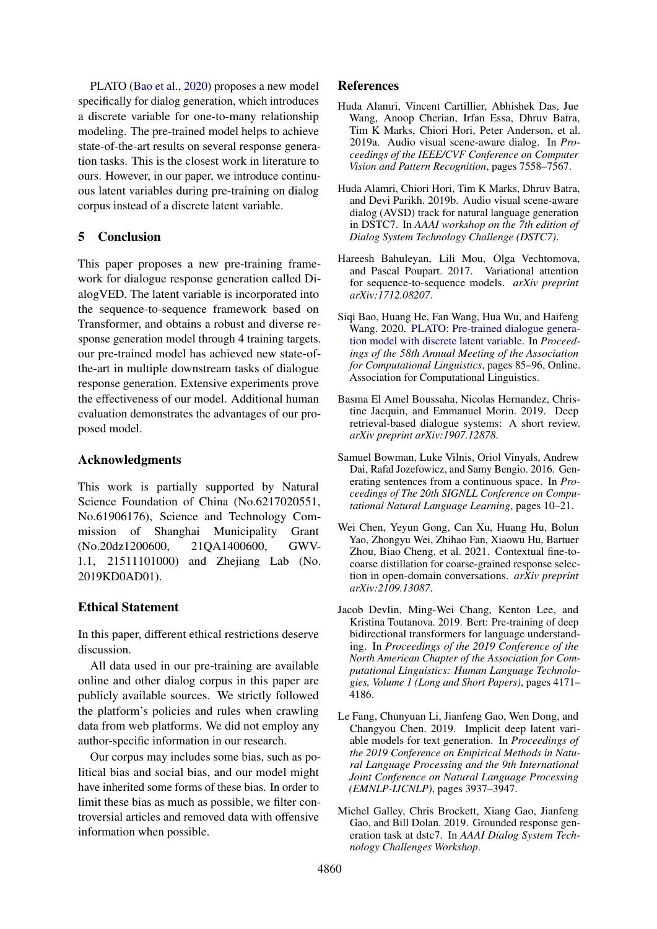PLATO [\(Bao et al.,](#page-8-1) [2020\)](#page-8-1) proposes a new model specifically for dialog generation, which introduces a discrete variable for one-to-many relationship modeling. The pre-trained model helps to achieve state-of-the-art results on several response generation tasks. This is the closest work in literature to ours. However, in our paper, we introduce continuous latent variables during pre-training on dialog corpus instead of a discrete latent variable.

## 5 Conclusion

This paper proposes a new pre-training framework for dialogue response generation called DialogVED. The latent variable is incorporated into the sequence-to-sequence framework based on Transformer, and obtains a robust and diverse response generation model through 4 training targets. our pre-trained model has achieved new state-ofthe-art in multiple downstream tasks of dialogue response generation. Extensive experiments prove the effectiveness of our model. Additional human evaluation demonstrates the advantages of our proposed model.

## Acknowledgments

This work is partially supported by Natural Science Foundation of China (No.6217020551, No.61906176), Science and Technology Commission of Shanghai Municipality Grant (No.20dz1200600, 21QA1400600, GWV-1.1, 21511101000) and Zhejiang Lab (No. 2019KD0AD01).

## Ethical Statement

In this paper, different ethical restrictions deserve discussion.

All data used in our pre-training are available online and other dialog corpus in this paper are publicly available sources. We strictly followed the platform's policies and rules when crawling data from web platforms. We did not employ any author-specific information in our research.

Our corpus may includes some bias, such as political bias and social bias, and our model might have inherited some forms of these bias. In order to limit these bias as much as possible, we filter controversial articles and removed data with offensive information when possible.

## References

- <span id="page-8-5"></span>Huda Alamri, Vincent Cartillier, Abhishek Das, Jue Wang, Anoop Cherian, Irfan Essa, Dhruv Batra, Tim K Marks, Chiori Hori, Peter Anderson, et al. 2019a. Audio visual scene-aware dialog. In *Proceedings of the IEEE/CVF Conference on Computer Vision and Pattern Recognition*, pages 7558–7567.
- <span id="page-8-7"></span>Huda Alamri, Chiori Hori, Tim K Marks, Dhruv Batra, and Devi Parikh. 2019b. Audio visual scene-aware dialog (AVSD) track for natural language generation in DSTC7. In *AAAI workshop on the 7th edition of Dialog System Technology Challenge (DSTC7)*.
- <span id="page-8-2"></span>Hareesh Bahuleyan, Lili Mou, Olga Vechtomova, and Pascal Poupart. 2017. Variational attention for sequence-to-sequence models. *arXiv preprint arXiv:1712.08207*.
- <span id="page-8-1"></span>Siqi Bao, Huang He, Fan Wang, Hua Wu, and Haifeng Wang. 2020. [PLATO: Pre-trained dialogue genera](https://doi.org/10.18653/v1/2020.acl-main.9)[tion model with discrete latent variable.](https://doi.org/10.18653/v1/2020.acl-main.9) In *Proceedings of the 58th Annual Meeting of the Association for Computational Linguistics*, pages 85–96, Online. Association for Computational Linguistics.
- <span id="page-8-8"></span>Basma El Amel Boussaha, Nicolas Hernandez, Christine Jacquin, and Emmanuel Morin. 2019. Deep retrieval-based dialogue systems: A short review. *arXiv preprint arXiv:1907.12878*.
- <span id="page-8-3"></span>Samuel Bowman, Luke Vilnis, Oriol Vinyals, Andrew Dai, Rafal Jozefowicz, and Samy Bengio. 2016. Generating sentences from a continuous space. In *Proceedings of The 20th SIGNLL Conference on Computational Natural Language Learning*, pages 10–21.
- <span id="page-8-9"></span>Wei Chen, Yeyun Gong, Can Xu, Huang Hu, Bolun Yao, Zhongyu Wei, Zhihao Fan, Xiaowu Hu, Bartuer Zhou, Biao Cheng, et al. 2021. Contextual fine-tocoarse distillation for coarse-grained response selection in open-domain conversations. *arXiv preprint arXiv:2109.13087*.
- <span id="page-8-0"></span>Jacob Devlin, Ming-Wei Chang, Kenton Lee, and Kristina Toutanova. 2019. Bert: Pre-training of deep bidirectional transformers for language understanding. In *Proceedings of the 2019 Conference of the North American Chapter of the Association for Computational Linguistics: Human Language Technologies, Volume 1 (Long and Short Papers)*, pages 4171– 4186.
- <span id="page-8-6"></span>Le Fang, Chunyuan Li, Jianfeng Gao, Wen Dong, and Changyou Chen. 2019. Implicit deep latent variable models for text generation. In *Proceedings of the 2019 Conference on Empirical Methods in Natural Language Processing and the 9th International Joint Conference on Natural Language Processing (EMNLP-IJCNLP)*, pages 3937–3947.
- <span id="page-8-4"></span>Michel Galley, Chris Brockett, Xiang Gao, Jianfeng Gao, and Bill Dolan. 2019. Grounded response generation task at dstc7. In *AAAI Dialog System Technology Challenges Workshop*.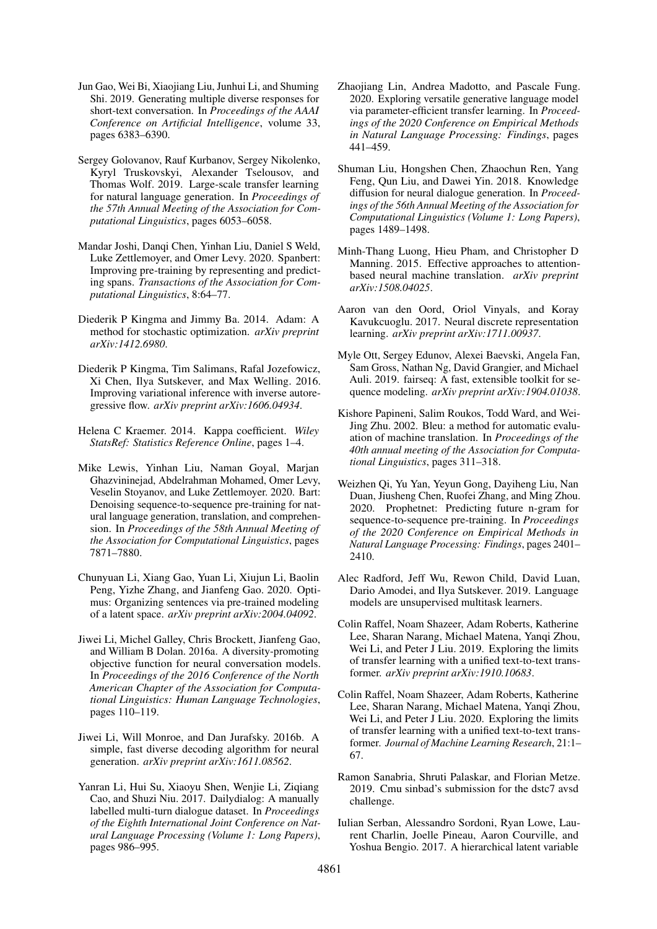- <span id="page-9-21"></span>Jun Gao, Wei Bi, Xiaojiang Liu, Junhui Li, and Shuming Shi. 2019. Generating multiple diverse responses for short-text conversation. In *Proceedings of the AAAI Conference on Artificial Intelligence*, volume 33, pages 6383–6390.
- <span id="page-9-14"></span>Sergey Golovanov, Rauf Kurbanov, Sergey Nikolenko, Kyryl Truskovskyi, Alexander Tselousov, and Thomas Wolf. 2019. Large-scale transfer learning for natural language generation. In *Proceedings of the 57th Annual Meeting of the Association for Computational Linguistics*, pages 6053–6058.
- <span id="page-9-8"></span>Mandar Joshi, Danqi Chen, Yinhan Liu, Daniel S Weld, Luke Zettlemoyer, and Omer Levy. 2020. Spanbert: Improving pre-training by representing and predicting spans. *Transactions of the Association for Computational Linguistics*, 8:64–77.
- <span id="page-9-16"></span>Diederik P Kingma and Jimmy Ba. 2014. Adam: A method for stochastic optimization. *arXiv preprint arXiv:1412.6980*.
- <span id="page-9-7"></span>Diederik P Kingma, Tim Salimans, Rafal Jozefowicz, Xi Chen, Ilya Sutskever, and Max Welling. 2016. Improving variational inference with inverse autoregressive flow. *arXiv preprint arXiv:1606.04934*.
- <span id="page-9-18"></span>Helena C Kraemer. 2014. Kappa coefficient. *Wiley StatsRef: Statistics Reference Online*, pages 1–4.
- <span id="page-9-9"></span>Mike Lewis, Yinhan Liu, Naman Goyal, Marjan Ghazvininejad, Abdelrahman Mohamed, Omer Levy, Veselin Stoyanov, and Luke Zettlemoyer. 2020. Bart: Denoising sequence-to-sequence pre-training for natural language generation, translation, and comprehension. In *Proceedings of the 58th Annual Meeting of the Association for Computational Linguistics*, pages 7871–7880.
- <span id="page-9-6"></span>Chunyuan Li, Xiang Gao, Yuan Li, Xiujun Li, Baolin Peng, Yizhe Zhang, and Jianfeng Gao. 2020. Optimus: Organizing sentences via pre-trained modeling of a latent space. *arXiv preprint arXiv:2004.04092*.
- <span id="page-9-13"></span>Jiwei Li, Michel Galley, Chris Brockett, Jianfeng Gao, and William B Dolan. 2016a. A diversity-promoting objective function for neural conversation models. In *Proceedings of the 2016 Conference of the North American Chapter of the Association for Computational Linguistics: Human Language Technologies*, pages 110–119.
- <span id="page-9-19"></span>Jiwei Li, Will Monroe, and Dan Jurafsky. 2016b. A simple, fast diverse decoding algorithm for neural generation. *arXiv preprint arXiv:1611.08562*.
- <span id="page-9-11"></span>Yanran Li, Hui Su, Xiaoyu Shen, Wenjie Li, Ziqiang Cao, and Shuzi Niu. 2017. Dailydialog: A manually labelled multi-turn dialogue dataset. In *Proceedings of the Eighth International Joint Conference on Natural Language Processing (Volume 1: Long Papers)*, pages 986–995.
- <span id="page-9-1"></span>Zhaojiang Lin, Andrea Madotto, and Pascale Fung. 2020. Exploring versatile generative language model via parameter-efficient transfer learning. In *Proceedings of the 2020 Conference on Empirical Methods in Natural Language Processing: Findings*, pages 441–459.
- <span id="page-9-20"></span>Shuman Liu, Hongshen Chen, Zhaochun Ren, Yang Feng, Qun Liu, and Dawei Yin. 2018. Knowledge diffusion for neural dialogue generation. In *Proceedings of the 56th Annual Meeting of the Association for Computational Linguistics (Volume 1: Long Papers)*, pages 1489–1498.
- <span id="page-9-3"></span>Minh-Thang Luong, Hieu Pham, and Christopher D Manning. 2015. Effective approaches to attentionbased neural machine translation. *arXiv preprint arXiv:1508.04025*.
- <span id="page-9-4"></span>Aaron van den Oord, Oriol Vinyals, and Koray Kavukcuoglu. 2017. Neural discrete representation learning. *arXiv preprint arXiv:1711.00937*.
- <span id="page-9-17"></span>Myle Ott, Sergey Edunov, Alexei Baevski, Angela Fan, Sam Gross, Nathan Ng, David Grangier, and Michael Auli. 2019. fairseq: A fast, extensible toolkit for sequence modeling. *arXiv preprint arXiv:1904.01038*.
- <span id="page-9-12"></span>Kishore Papineni, Salim Roukos, Todd Ward, and Wei-Jing Zhu. 2002. Bleu: a method for automatic evaluation of machine translation. In *Proceedings of the 40th annual meeting of the Association for Computational Linguistics*, pages 311–318.
- <span id="page-9-5"></span>Weizhen Qi, Yu Yan, Yeyun Gong, Dayiheng Liu, Nan Duan, Jiusheng Chen, Ruofei Zhang, and Ming Zhou. 2020. Prophetnet: Predicting future n-gram for sequence-to-sequence pre-training. In *Proceedings of the 2020 Conference on Empirical Methods in Natural Language Processing: Findings*, pages 2401– 2410.
- <span id="page-9-0"></span>Alec Radford, Jeff Wu, Rewon Child, David Luan, Dario Amodei, and Ilya Sutskever. 2019. Language models are unsupervised multitask learners.
- <span id="page-9-10"></span>Colin Raffel, Noam Shazeer, Adam Roberts, Katherine Lee, Sharan Narang, Michael Matena, Yanqi Zhou, Wei Li, and Peter J Liu. 2019. Exploring the limits of transfer learning with a unified text-to-text transformer. *arXiv preprint arXiv:1910.10683*.
- <span id="page-9-22"></span>Colin Raffel, Noam Shazeer, Adam Roberts, Katherine Lee, Sharan Narang, Michael Matena, Yanqi Zhou, Wei Li, and Peter J Liu. 2020. Exploring the limits of transfer learning with a unified text-to-text transformer. *Journal of Machine Learning Research*, 21:1– 67.
- <span id="page-9-15"></span>Ramon Sanabria, Shruti Palaskar, and Florian Metze. 2019. Cmu sinbad's submission for the dstc7 avsd challenge.
- <span id="page-9-2"></span>Iulian Serban, Alessandro Sordoni, Ryan Lowe, Laurent Charlin, Joelle Pineau, Aaron Courville, and Yoshua Bengio. 2017. A hierarchical latent variable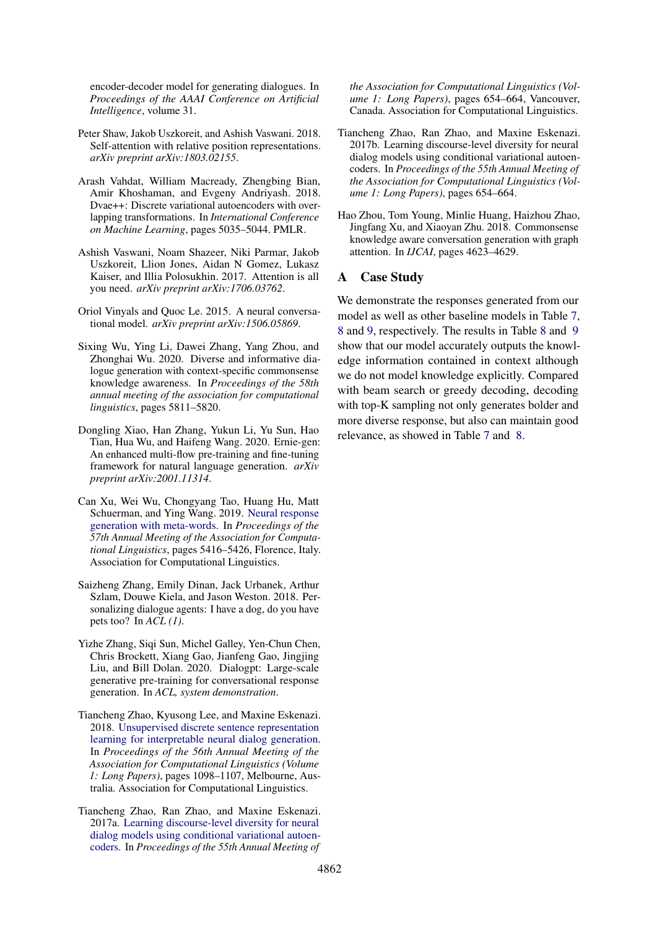encoder-decoder model for generating dialogues. In *Proceedings of the AAAI Conference on Artificial Intelligence*, volume 31.

- <span id="page-10-6"></span>Peter Shaw, Jakob Uszkoreit, and Ashish Vaswani. 2018. Self-attention with relative position representations. *arXiv preprint arXiv:1803.02155*.
- <span id="page-10-1"></span>Arash Vahdat, William Macready, Zhengbing Bian, Amir Khoshaman, and Evgeny Andriyash. 2018. Dvae++: Discrete variational autoencoders with overlapping transformations. In *International Conference on Machine Learning*, pages 5035–5044. PMLR.
- <span id="page-10-2"></span>Ashish Vaswani, Noam Shazeer, Niki Parmar, Jakob Uszkoreit, Llion Jones, Aidan N Gomez, Lukasz Kaiser, and Illia Polosukhin. 2017. Attention is all you need. *arXiv preprint arXiv:1706.03762*.
- <span id="page-10-9"></span>Oriol Vinyals and Quoc Le. 2015. A neural conversational model. *arXiv preprint arXiv:1506.05869*.
- <span id="page-10-12"></span>Sixing Wu, Ying Li, Dawei Zhang, Yang Zhou, and Zhonghai Wu. 2020. Diverse and informative dialogue generation with context-specific commonsense knowledge awareness. In *Proceedings of the 58th annual meeting of the association for computational linguistics*, pages 5811–5820.
- <span id="page-10-3"></span>Dongling Xiao, Han Zhang, Yukun Li, Yu Sun, Hao Tian, Hua Wu, and Haifeng Wang. 2020. Ernie-gen: An enhanced multi-flow pre-training and fine-tuning framework for natural language generation. *arXiv preprint arXiv:2001.11314*.
- <span id="page-10-11"></span>Can Xu, Wei Wu, Chongyang Tao, Huang Hu, Matt Schuerman, and Ying Wang. 2019. [Neural response](https://doi.org/10.18653/v1/P19-1538) [generation with meta-words.](https://doi.org/10.18653/v1/P19-1538) In *Proceedings of the 57th Annual Meeting of the Association for Computational Linguistics*, pages 5416–5426, Florence, Italy. Association for Computational Linguistics.
- <span id="page-10-8"></span>Saizheng Zhang, Emily Dinan, Jack Urbanek, Arthur Szlam, Douwe Kiela, and Jason Weston. 2018. Personalizing dialogue agents: I have a dog, do you have pets too? In *ACL (1)*.
- <span id="page-10-0"></span>Yizhe Zhang, Siqi Sun, Michel Galley, Yen-Chun Chen, Chris Brockett, Xiang Gao, Jianfeng Gao, Jingjing Liu, and Bill Dolan. 2020. Dialogpt: Large-scale generative pre-training for conversational response generation. In *ACL, system demonstration*.
- <span id="page-10-13"></span>Tiancheng Zhao, Kyusong Lee, and Maxine Eskenazi. 2018. [Unsupervised discrete sentence representation](https://doi.org/10.18653/v1/P18-1101) [learning for interpretable neural dialog generation.](https://doi.org/10.18653/v1/P18-1101) In *Proceedings of the 56th Annual Meeting of the Association for Computational Linguistics (Volume 1: Long Papers)*, pages 1098–1107, Melbourne, Australia. Association for Computational Linguistics.
- <span id="page-10-4"></span>Tiancheng Zhao, Ran Zhao, and Maxine Eskenazi. 2017a. [Learning discourse-level diversity for neural](https://doi.org/10.18653/v1/P17-1061) [dialog models using conditional variational autoen](https://doi.org/10.18653/v1/P17-1061)[coders.](https://doi.org/10.18653/v1/P17-1061) In *Proceedings of the 55th Annual Meeting of*

*the Association for Computational Linguistics (Volume 1: Long Papers)*, pages 654–664, Vancouver, Canada. Association for Computational Linguistics.

- <span id="page-10-5"></span>Tiancheng Zhao, Ran Zhao, and Maxine Eskenazi. 2017b. Learning discourse-level diversity for neural dialog models using conditional variational autoencoders. In *Proceedings of the 55th Annual Meeting of the Association for Computational Linguistics (Volume 1: Long Papers)*, pages 654–664.
- <span id="page-10-7"></span>Hao Zhou, Tom Young, Minlie Huang, Haizhou Zhao, Jingfang Xu, and Xiaoyan Zhu. 2018. Commonsense knowledge aware conversation generation with graph attention. In *IJCAI*, pages 4623–4629.

## <span id="page-10-10"></span>A Case Study

We demonstrate the responses generated from our model as well as other baseline models in Table [7,](#page-11-0) [8](#page-11-1) and [9,](#page-12-0) respectively. The results in Table [8](#page-11-1) and [9](#page-12-0) show that our model accurately outputs the knowledge information contained in context although we do not model knowledge explicitly. Compared with beam search or greedy decoding, decoding with top-K sampling not only generates bolder and more diverse response, but also can maintain good relevance, as showed in Table [7](#page-11-0) and [8.](#page-11-1)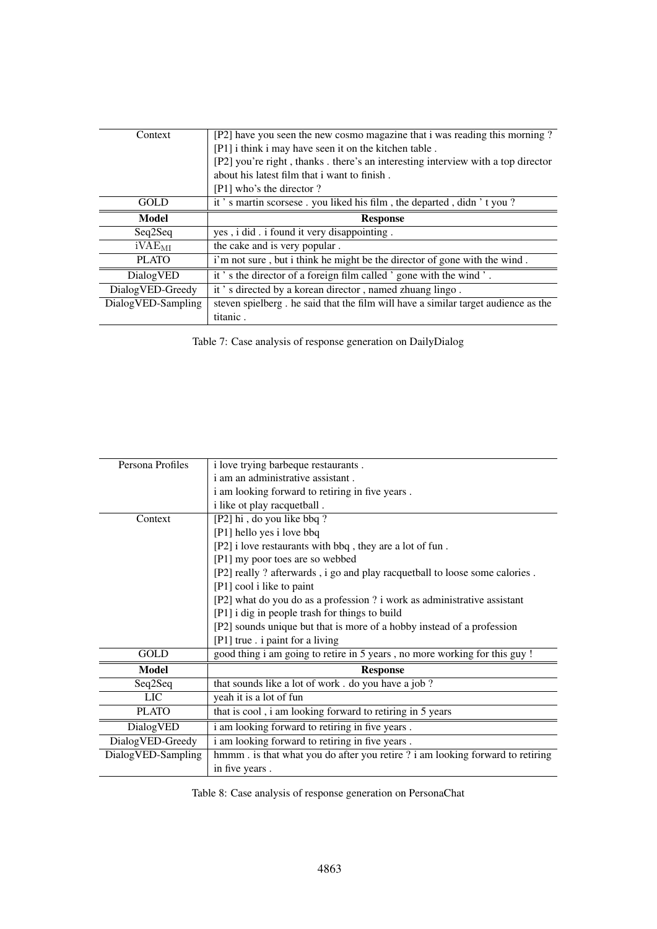<span id="page-11-0"></span>

| Context            | [P2] have you seen the new cosmo magazine that i was reading this morning?         |
|--------------------|------------------------------------------------------------------------------------|
|                    | [P1] i think i may have seen it on the kitchen table.                              |
|                    | [P2] you're right, thanks. there's an interesting interview with a top director    |
|                    | about his latest film that i want to finish.                                       |
|                    | [P1] who's the director?                                                           |
| GOLD               | it's martin scorsese. you liked his film, the departed, didn't you?                |
| <b>Model</b>       | <b>Response</b>                                                                    |
| Seq2Seq            | yes, i did. i found it very disappointing.                                         |
| iVAE <sub>MI</sub> | the cake and is very popular.                                                      |
| <b>PLATO</b>       | i'm not sure, but i think he might be the director of gone with the wind.          |
| DialogVED          | it's the director of a foreign film called 'gone with the wind'.                   |
| DialogVED-Greedy   | it's directed by a korean director, named zhuang lingo.                            |
| DialogVED-Sampling | steven spielberg. he said that the film will have a similar target audience as the |
|                    | titanic.                                                                           |

Table 7: Case analysis of response generation on DailyDialog

<span id="page-11-1"></span>

| Persona Profiles   | i love trying barbeque restaurants.                                           |
|--------------------|-------------------------------------------------------------------------------|
|                    | i am an administrative assistant.                                             |
|                    | i am looking forward to retiring in five years.                               |
|                    | i like ot play racquetball.                                                   |
| Context            | [P2] hi, do you like bbq?                                                     |
|                    | [P1] hello yes i love bbq                                                     |
|                    | [P2] i love restaurants with bbq, they are a lot of fun.                      |
|                    | [P1] my poor toes are so webbed                                               |
|                    | [P2] really ? afterwards, i go and play racquetball to loose some calories.   |
|                    | [P1] cool i like to paint                                                     |
|                    | [P2] what do you do as a profession ? i work as administrative assistant      |
|                    | [P1] i dig in people trash for things to build                                |
|                    | [P2] sounds unique but that is more of a hobby instead of a profession        |
|                    | [P1] true . i paint for a living                                              |
| GOLD               | good thing i am going to retire in 5 years, no more working for this guy !    |
| <b>Model</b>       | <b>Response</b>                                                               |
| Seq2Seq            | that sounds like a lot of work. do you have a job?                            |
| <b>LIC</b>         | yeah it is a lot of fun                                                       |
| <b>PLATO</b>       | that is cool, i am looking forward to retiring in 5 years                     |
| DialogVED          | i am looking forward to retiring in five years.                               |
| DialogVED-Greedy   | i am looking forward to retiring in five years.                               |
| DialogVED-Sampling | hmmm. is that what you do after you retire ? i am looking forward to retiring |
|                    | in five years.                                                                |
|                    |                                                                               |

Table 8: Case analysis of response generation on PersonaChat